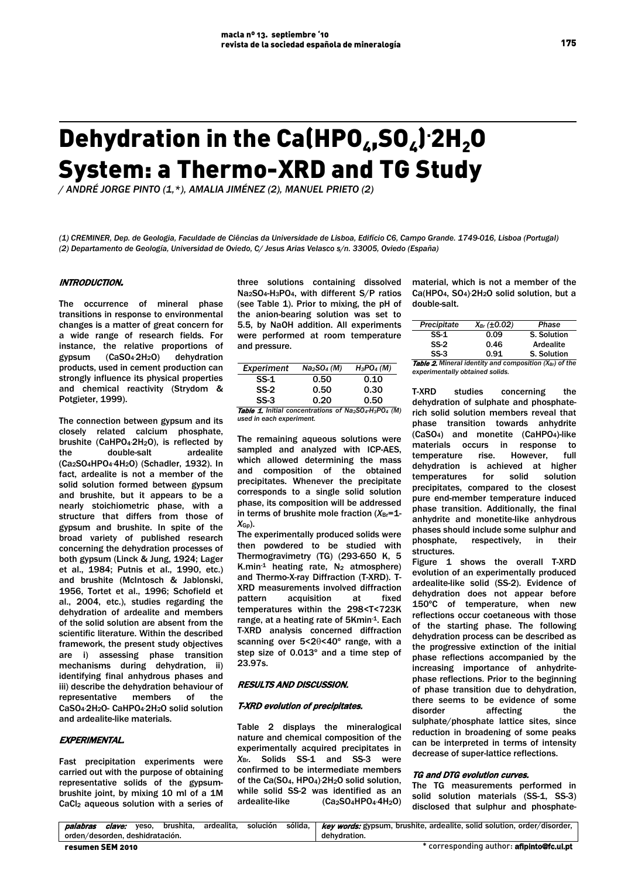# Dehydration in the Ca(HPO<sub>4</sub>,SO<sub>4</sub>)<sup>.</sup>2H<sub>2</sub>O System: a Thermo-XRD and TG Study

*/ ANDRÉ JORGE PINTO (1,\*), AMALIA JIMÉNEZ (2), MANUEL PRIETO (2)*

*(1) CREMINER, Dep. de Geologia, Faculdade de Ciências da Universidade de Lisboa, Edifício C6, Campo Grande. 1749-016, Lisboa (Portugal) (2) Departamento de Geología, Universidad de Oviedo, C/ Jesus Arias Velasco s/n. 33005, Oviedo (España)*

## INTRODUCTION.

The occurrence of mineral phase transitions in response to environmental changes is a matter of great concern for a wide range of research fields. For instance, the relative proportions of gypsum (CaSO4. dehydration products, used in cement production can strongly influence its physical properties and chemical reactivity (Strydom & Potgieter, 1999).

The connection between gypsum and its closely related calcium phosphate, brushite (CaHPO4. 2H2O), is reflected by the double-salt ardealite (Ca2SO4HPO4. 4H2O) (Schadler, 1932). In fact, ardealite is not a member of the solid solution formed between gypsum and brushite, but it appears to be a nearly stoichiometric phase, with a structure that differs from those of gypsum and brushite. In spite of the broad variety of published research concerning the dehydration processes of both gypsum (Linck & Jung, 1924; Lager et al., 1984; Putnis et al., 1990, etc.) and brushite (McIntosch & Jablonski, 1956, Tortet et al., 1996; Schofield et al., 2004, etc.), studies regarding the dehydration of ardealite and members of the solid solution are absent from the scientific literature. Within the described framework, the present study objectives are i) assessing phase transition mechanisms during dehydration, ii) identifying final anhydrous phases and iii) describe the dehydration behaviour of representative members of the CaSO<sub>4</sub> 2H<sub>2</sub>O- CaHPO<sub>4</sub> 2H<sub>2</sub>O solid solution and ardealite-like materials.

## EXPERIMENTAL.

Fast precipitation experiments were carried out with the purpose of obtaining representative solids of the gypsumbrushite joint, by mixing 10 ml of a 1M CaCl<sub>2</sub> aqueous solution with a series of three solutions containing dissolved Na2SO4-H3PO4, with different S/P ratios (see Table 1). Prior to mixing, the pH of the anion-bearing solution was set to 5.5, by NaOH addition. All experiments were performed at room temperature and pressure.

| Na <sub>2</sub> SO <sub>4</sub> (M) | $H_3PO_4(M)$ |
|-------------------------------------|--------------|
| 0.50                                | 0.10         |
| 0.50                                | 0.30         |
| 0.20                                | 0.50         |
|                                     |              |

Table 1. *Initial concentrations of Na2SO4-H3PO4 (M) used in each experiment.*

The remaining aqueous solutions were sampled and analyzed with ICP-AES, which allowed determining the mass and composition of the obtained precipitates. Whenever the precipitate corresponds to a single solid solution phase, its composition will be addressed in terms of brushite mole fraction (*X*Br=1- *X*Gp).

The experimentally produced solids were then powdered to be studied with Thermogravimetry (TG) (293-650 K, 5 K.min<sup>-1</sup> heating rate,  $N_2$  atmosphere) and Thermo-X-ray Diffraction (T-XRD). T-XRD measurements involved diffraction pattern acquisition at fixed temperatures within the 298<T<723K range, at a heating rate of 5Kmin<sup>-1</sup>. Each T-XRD analysis concerned diffraction scanning over 5<2θ<40º range, with a step size of 0.013º and a time step of 23.97s.

#### RESULTS AND DISCUSSION.

#### T-XRD evolution of precipitates.

Table 2 displays the mineralogical nature and chemical composition of the experimentally acquired precipitates in *X*Br. Solids SS-1 and SS-3 were confirmed to be intermediate members of the Ca(SO<sub>4</sub>, HPO<sub>4</sub>) 2H<sub>2</sub>O solid solution, while solid SS-2 was identified as an ardealite-like (Ca<sub>2</sub>SO<sub>4</sub>HPO<sub>4</sub>-4H<sub>2</sub>O)

material, which is not a member of the Ca(HPO<sub>4</sub>, SO<sub>4</sub>) 2H<sub>2</sub>O solid solution, but a double-salt.

| Precipitate                                                               | $X_{Br}(\pm 0.02)$ | Phase            |  |  |  |  |  |
|---------------------------------------------------------------------------|--------------------|------------------|--|--|--|--|--|
| $SS-1$                                                                    | 0.09               | S. Solution      |  |  |  |  |  |
| $SS-2$                                                                    | 0.46               | <b>Ardealite</b> |  |  |  |  |  |
| $SS-3$                                                                    | 0.91               | S. Solution      |  |  |  |  |  |
| <b>Table 2.</b> Mineral identity and composition $(X_{\text{Br}})$ of the |                    |                  |  |  |  |  |  |
| experimentally obtained solids.                                           |                    |                  |  |  |  |  |  |

T-XRD studies concerning the dehydration of sulphate and phosphaterich solid solution members reveal that phase transition towards anhydrite (CaSO4) and monetite (CaHPO4)-like materials occurs in response to temperature rise. However, full dehydration is achieved at higher temperatures for solid solution precipitates, compared to the closest pure end-member temperature induced phase transition. Additionally, the final anhydrite and monetite-like anhydrous phases should include some sulphur and phosphate, respectively, in their **structures** 

Figure 1 shows the overall T-XRD evolution of an experimentally produced ardealite-like solid (SS-2). Evidence of dehydration does not appear before 150ºC of temperature, when new reflections occur coetaneous with those of the starting phase. The following dehydration process can be described as the progressive extinction of the initial phase reflections accompanied by the increasing importance of anhydritephase reflections. Prior to the beginning of phase transition due to dehydration, there seems to be evidence of some disorder affecting the sulphate/phosphate lattice sites, since reduction in broadening of some peaks can be interpreted in terms of intensity decrease of super-lattice reflections.

#### TG and DTG evolution curves.

The TG measurements performed in solid solution materials (SS-1, SS-3) disclosed that sulphur and phosphate-

| palabras                        | clave: | veso. | brushita. | ardealita. | solución | sólida.      | <i>key words:</i> gypsum, brushite, ardealite, solid solution, order/disorder, |
|---------------------------------|--------|-------|-----------|------------|----------|--------------|--------------------------------------------------------------------------------|
| orden/desorden, deshidratación, |        |       |           |            |          | dehvdration. |                                                                                |
| resumen SEM 2010                |        |       |           |            |          |              | * corresponding author: <b>afipinto@fc.ul.pt</b>                               |